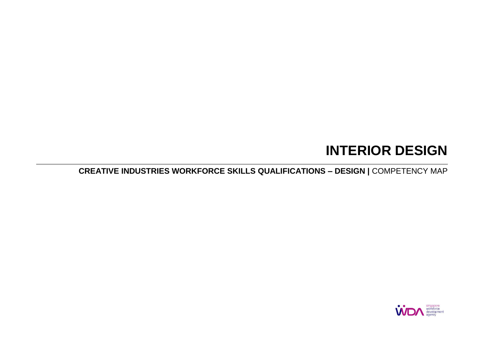# **INTERIOR DESIGN**

**CREATIVE INDUSTRIES WORKFORCE SKILLS QUALIFICATIONS – DESIGN |** COMPETENCY MAP

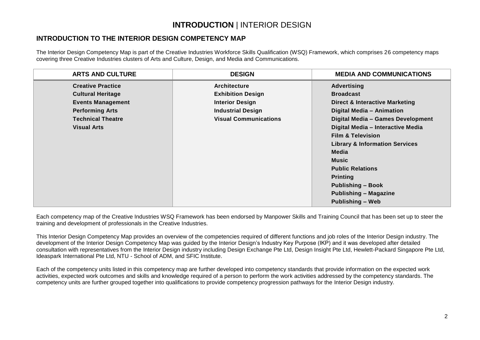### **INTRODUCTION** | INTERIOR DESIGN

#### **INTRODUCTION TO THE INTERIOR DESIGN COMPETENCY MAP**

The Interior Design Competency Map is part of the Creative Industries Workforce Skills Qualification (WSQ) Framework, which comprises 26 competency maps covering three Creative Industries clusters of Arts and Culture, Design, and Media and Communications.

| <b>ARTS AND CULTURE</b>  | <b>DESIGN</b>                | <b>MEDIA AND COMMUNICATIONS</b>           |
|--------------------------|------------------------------|-------------------------------------------|
| <b>Creative Practice</b> | <b>Architecture</b>          | <b>Advertising</b>                        |
| <b>Cultural Heritage</b> | <b>Exhibition Design</b>     | <b>Broadcast</b>                          |
| <b>Events Management</b> | <b>Interior Design</b>       | <b>Direct &amp; Interactive Marketing</b> |
| <b>Performing Arts</b>   | <b>Industrial Design</b>     | Digital Media - Animation                 |
| <b>Technical Theatre</b> | <b>Visual Communications</b> | Digital Media - Games Development         |
| <b>Visual Arts</b>       |                              | Digital Media - Interactive Media         |
|                          |                              | <b>Film &amp; Television</b>              |
|                          |                              | <b>Library &amp; Information Services</b> |
|                          |                              | Media                                     |
|                          |                              | <b>Music</b>                              |
|                          |                              | <b>Public Relations</b>                   |
|                          |                              | <b>Printing</b>                           |
|                          |                              | <b>Publishing - Book</b>                  |
|                          |                              | <b>Publishing - Magazine</b>              |
|                          |                              | <b>Publishing - Web</b>                   |

Each competency map of the Creative Industries WSQ Framework has been endorsed by Manpower Skills and Training Council that has been set up to steer the training and development of professionals in the Creative Industries.

This Interior Design Competency Map provides an overview of the competencies required of different functions and job roles of the Interior Design industry. The development of the Interior Design Competency Map was guided by the Interior Design's Industry Key Purpose (IKP) and it was developed after detailed consultation with representatives from the Interior Design industry including Design Exchange Pte Ltd, Design Insight Pte Ltd, Hewlett-Packard Singapore Pte Ltd, Ideaspark International Pte Ltd, NTU - School of ADM, and SFIC Institute.

Each of the competency units listed in this competency map are further developed into competency standards that provide information on the expected work activities, expected work outcomes and skills and knowledge required of a person to perform the work activities addressed by the competency standards. The competency units are further grouped together into qualifications to provide competency progression pathways for the Interior Design industry.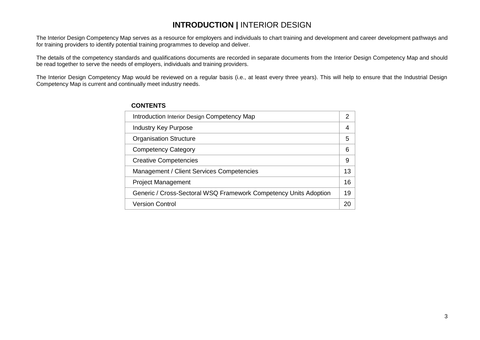# **INTRODUCTION | INTERIOR DESIGN**

The Interior Design Competency Map serves as a resource for employers and individuals to chart training and development and career development pathways and for training providers to identify potential training programmes to develop and deliver.

The details of the competency standards and qualifications documents are recorded in separate documents from the Interior Design Competency Map and should be read together to serve the needs of employers, individuals and training providers.

The Interior Design Competency Map would be reviewed on a regular basis (i.e., at least every three years). This will help to ensure that the Industrial Design Competency Map is current and continually meet industry needs.

| Introduction Interior Design Competency Map                      |    |  |
|------------------------------------------------------------------|----|--|
| <b>Industry Key Purpose</b>                                      | 4  |  |
| <b>Organisation Structure</b>                                    | 5  |  |
| <b>Competency Category</b>                                       | 6  |  |
| <b>Creative Competencies</b>                                     |    |  |
| Management / Client Services Competencies                        |    |  |
| <b>Project Management</b>                                        | 16 |  |
| Generic / Cross-Sectoral WSQ Framework Competency Units Adoption |    |  |
| <b>Version Control</b>                                           | 20 |  |

#### **CONTENTS**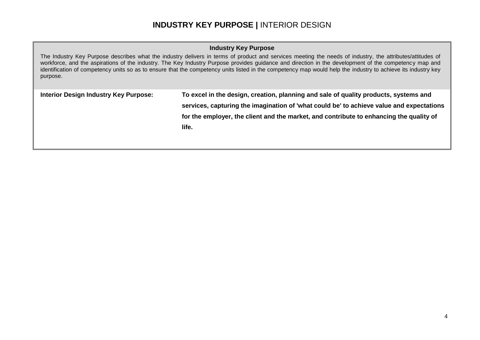### **INDUSTRY KEY PURPOSE |** INTERIOR DESIGN

#### **Industry Key Purpose**

The Industry Key Purpose describes what the industry delivers in terms of product and services meeting the needs of industry, the attributes/attitudes of workforce, and the aspirations of the industry. The Key Industry Purpose provides guidance and direction in the development of the competency map and identification of competency units so as to ensure that the competency units listed in the competency map would help the industry to achieve its industry key purpose.

| Interior Design Industry Key Purpose: | To excel in the design, creation, planning and sale of quality products, systems and     |
|---------------------------------------|------------------------------------------------------------------------------------------|
|                                       | services, capturing the imagination of 'what could be' to achieve value and expectations |
|                                       | for the employer, the client and the market, and contribute to enhancing the quality of  |
|                                       | life.                                                                                    |
|                                       |                                                                                          |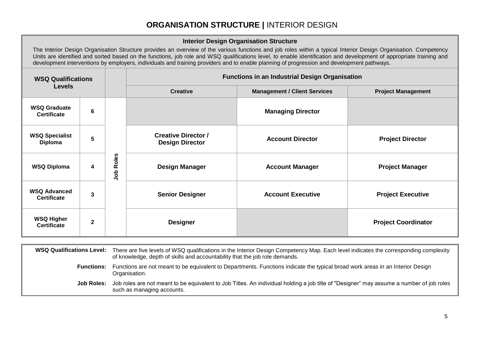### **ORGANISATION STRUCTURE |** INTERIOR DESIGN

#### **Interior Design Organisation Structure**

The Interior Design Organisation Structure provides an overview of the various functions and job roles within a typical Interior Design Organisation. Competency Units are identified and sorted based on the functions, job role and WSQ qualifications level, to enable identification and development of appropriate training and development interventions by employers, individuals and training providers and to enable planning of progression and development pathways.

| <b>WSQ Qualifications</b><br><b>Levels</b> |                |              |                                                      | <b>Functions in an Industrial Design Organisation</b> |                            |
|--------------------------------------------|----------------|--------------|------------------------------------------------------|-------------------------------------------------------|----------------------------|
|                                            |                |              | <b>Creative</b>                                      | <b>Management / Client Services</b>                   | <b>Project Management</b>  |
| <b>WSQ Graduate</b><br><b>Certificate</b>  | 6              |              |                                                      | <b>Managing Director</b>                              |                            |
| <b>WSQ Specialist</b><br>Diploma           | 5              |              | <b>Creative Director /</b><br><b>Design Director</b> | <b>Account Director</b>                               | <b>Project Director</b>    |
| <b>WSQ Diploma</b>                         | 4              | Roles<br>dol | <b>Design Manager</b>                                | <b>Account Manager</b>                                | <b>Project Manager</b>     |
| <b>WSQ Advanced</b><br><b>Certificate</b>  | 3              |              | <b>Senior Designer</b>                               | <b>Account Executive</b>                              | <b>Project Executive</b>   |
| <b>WSQ Higher</b><br><b>Certificate</b>    | $\overline{2}$ |              | <b>Designer</b>                                      |                                                       | <b>Project Coordinator</b> |

| <b>WSQ Qualifications Level:</b> | There are five levels of WSQ qualifications in the Interior Design Competency Map. Each level indicates the corresponding complexity<br>of knowledge, depth of skills and accountability that the job role demands. |
|----------------------------------|---------------------------------------------------------------------------------------------------------------------------------------------------------------------------------------------------------------------|
| <b>Functions:</b>                | Functions are not meant to be equivalent to Departments. Functions indicate the typical broad work areas in an Interior Design<br>Organisation.                                                                     |
| Job Roles:                       | Job roles are not meant to be equivalent to Job Titles. An individual holding a job title of "Designer" may assume a number of job roles<br>such as managing accounts.                                              |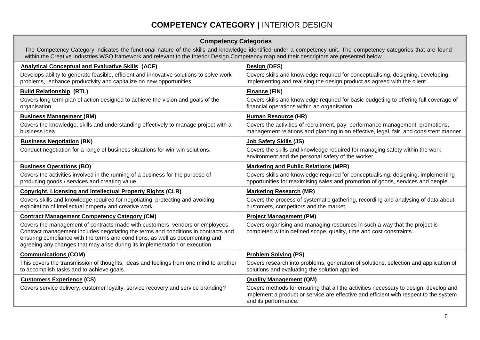# **COMPETENCY CATEGORY |** INTERIOR DESIGN

#### **Competency Categories**

The Competency Category indicates the functional nature of the skills and knowledge identified under a competency unit. The competency categories that are found within the Creative Industries WSQ framework and relevant to the Interior Design Competency map and their descriptors are presented below.

| <b>Analytical Conceptual and Evaluative Skills (ACE)</b>                                                                                                                                                                                                                                                                            | Design (DES)                                                                                                                                                                                          |
|-------------------------------------------------------------------------------------------------------------------------------------------------------------------------------------------------------------------------------------------------------------------------------------------------------------------------------------|-------------------------------------------------------------------------------------------------------------------------------------------------------------------------------------------------------|
| Develops ability to generate feasible, efficient and innovative solutions to solve work<br>problems, enhance productivity and capitalize on new opportunities                                                                                                                                                                       | Covers skills and knowledge required for conceptualising, designing, developing,<br>implementing and realising the design product as agreed with the client.                                          |
| <b>Build Relationship (RTL)</b>                                                                                                                                                                                                                                                                                                     | <b>Finance (FIN)</b>                                                                                                                                                                                  |
| Covers long term plan of action designed to achieve the vision and goals of the<br>organisation.                                                                                                                                                                                                                                    | Covers skills and knowledge required for basic budgeting to offering full coverage of<br>financial operations within an organisation.                                                                 |
| <b>Business Management (BM)</b>                                                                                                                                                                                                                                                                                                     | <b>Human Resource (HR)</b>                                                                                                                                                                            |
| Covers the knowledge, skills and understanding effectively to manage project with a<br>business idea.                                                                                                                                                                                                                               | Covers the activities of recruitment, pay, performance management, promotions,<br>management relations and planning in an effective, legal, fair, and consistent manner.                              |
| <b>Business Negotiation (BN)</b>                                                                                                                                                                                                                                                                                                    | Job Safety Skills (JS)                                                                                                                                                                                |
| Conduct negotiation for a range of business situations for win-win solutions.                                                                                                                                                                                                                                                       | Covers the skills and knowledge required for managing safety within the work<br>environment and the personal safety of the worker.                                                                    |
| <b>Business Operations (BO)</b>                                                                                                                                                                                                                                                                                                     | <b>Marketing and Public Relations (MPR)</b>                                                                                                                                                           |
| Covers the activities involved in the running of a business for the purpose of<br>producing goods / services and creating value.                                                                                                                                                                                                    | Covers skills and knowledge required for conceptualising, designing, implementing<br>opportunities for maximising sales and promotion of goods, services and people.                                  |
| <b>Copyright, Licensing and Intellectual Property Rights (CLR)</b>                                                                                                                                                                                                                                                                  | <b>Marketing Research (MR)</b>                                                                                                                                                                        |
| Covers skills and knowledge required for negotiating, protecting and avoiding<br>exploitation of intellectual property and creative work.                                                                                                                                                                                           | Covers the process of systematic gathering, recording and analysing of data about<br>customers, competitors and the market.                                                                           |
| <b>Contract Management Competency Category (CM)</b>                                                                                                                                                                                                                                                                                 | <b>Project Management (PM)</b>                                                                                                                                                                        |
| Covers the management of contracts made with customers, vendors or employees.<br>Contract management includes negotiating the terms and conditions in contracts and<br>ensuring compliance with the terms and conditions, as well as documenting and<br>agreeing any changes that may arise during its implementation or execution. | Covers organising and managing resources in such a way that the project is<br>completed within defined scope, quality, time and cost constraints.                                                     |
| <b>Communications (COM)</b>                                                                                                                                                                                                                                                                                                         | <b>Problem Solving (PS)</b>                                                                                                                                                                           |
| This covers the transmission of thoughts, ideas and feelings from one mind to another<br>to accomplish tasks and to achieve goals.                                                                                                                                                                                                  | Covers research into problems, generation of solutions, selection and application of<br>solutions and evaluating the solution applied.                                                                |
| <b>Customers Experience (CS)</b>                                                                                                                                                                                                                                                                                                    | <b>Quality Management (QM)</b>                                                                                                                                                                        |
| Covers service delivery, customer loyalty, service recovery and service branding?                                                                                                                                                                                                                                                   | Covers methods for ensuring that all the activities necessary to design, develop and<br>implement a product or service are effective and efficient with respect to the system<br>and its performance. |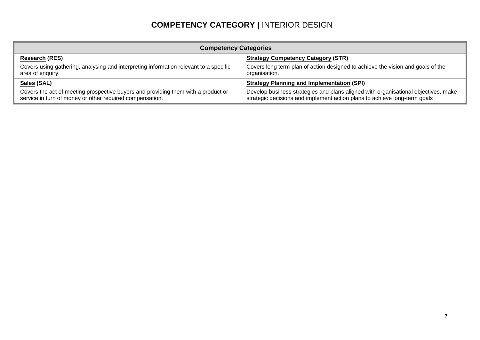# **COMPETENCY CATEGORY |** INTERIOR DESIGN

| <b>Competency Categories</b>                                                                                                                  |                                                                                                                                                                 |  |  |  |  |
|-----------------------------------------------------------------------------------------------------------------------------------------------|-----------------------------------------------------------------------------------------------------------------------------------------------------------------|--|--|--|--|
| <b>Research (RES)</b>                                                                                                                         | <b>Strategy Competency Category (STR)</b>                                                                                                                       |  |  |  |  |
| Covers using gathering, analysing and interpreting information relevant to a specific<br>area of enquiry.                                     | Covers long term plan of action designed to achieve the vision and goals of the<br>organisation.                                                                |  |  |  |  |
| Sales (SAL)                                                                                                                                   | <b>Strategy Planning and Implementation (SPI)</b>                                                                                                               |  |  |  |  |
| Covers the act of meeting prospective buyers and providing them with a product or<br>service in turn of money or other required compensation. | Develop business strategies and plans aligned with organisational objectives, make<br>strategic decisions and implement action plans to achieve long-term goals |  |  |  |  |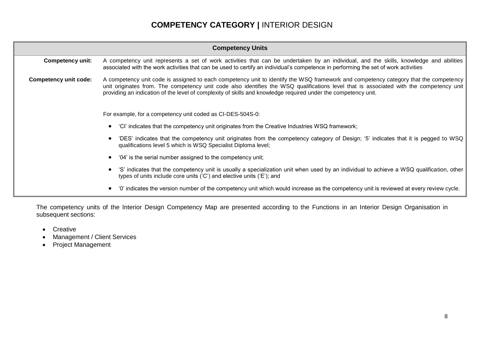# **COMPETENCY CATEGORY |** INTERIOR DESIGN

| <b>Competency Units</b>                                                                                                                                                                                           |                                                                                                                                                                                                                                                                                                                                                                                                   |  |  |  |  |
|-------------------------------------------------------------------------------------------------------------------------------------------------------------------------------------------------------------------|---------------------------------------------------------------------------------------------------------------------------------------------------------------------------------------------------------------------------------------------------------------------------------------------------------------------------------------------------------------------------------------------------|--|--|--|--|
| <b>Competency unit:</b>                                                                                                                                                                                           | A competency unit represents a set of work activities that can be undertaken by an individual, and the skills, knowledge and abilities<br>associated with the work activities that can be used to certify an individual's competence in performing the set of work activities                                                                                                                     |  |  |  |  |
| Competency unit code:                                                                                                                                                                                             | A competency unit code is assigned to each competency unit to identify the WSQ framework and competency category that the competency<br>unit originates from. The competency unit code also identifies the WSQ qualifications level that is associated with the competency unit<br>providing an indication of the level of complexity of skills and knowledge required under the competency unit. |  |  |  |  |
|                                                                                                                                                                                                                   | For example, for a competency unit coded as CI-DES-504S-0:                                                                                                                                                                                                                                                                                                                                        |  |  |  |  |
|                                                                                                                                                                                                                   | "CI" indicates that the competency unit originates from the Creative Industries WSQ framework;                                                                                                                                                                                                                                                                                                    |  |  |  |  |
|                                                                                                                                                                                                                   | 'DES' indicates that the competency unit originates from the competency category of Design; '5' indicates that it is pegged to WSQ<br>qualifications level 5 which is WSQ Specialist Diploma level;                                                                                                                                                                                               |  |  |  |  |
|                                                                                                                                                                                                                   | '04' is the serial number assigned to the competency unit;                                                                                                                                                                                                                                                                                                                                        |  |  |  |  |
| 'S' indicates that the competency unit is usually a specialization unit when used by an individual to achieve a WSQ qualification, other<br>types of units include core units ('C') and elective units ('E'); and |                                                                                                                                                                                                                                                                                                                                                                                                   |  |  |  |  |
|                                                                                                                                                                                                                   | '0' indicates the version number of the competency unit which would increase as the competency unit is reviewed at every review cycle.                                                                                                                                                                                                                                                            |  |  |  |  |

The competency units of the Interior Design Competency Map are presented according to the Functions in an Interior Design Organisation in subsequent sections:

- Creative
- Management / Client Services
- Project Management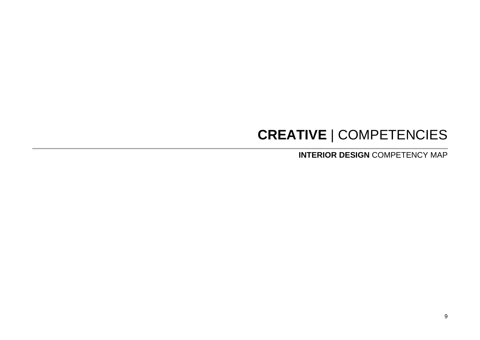# **CREATIVE** | COMPETENCIES

**INTERIOR DESIGN** COMPETENCY MAP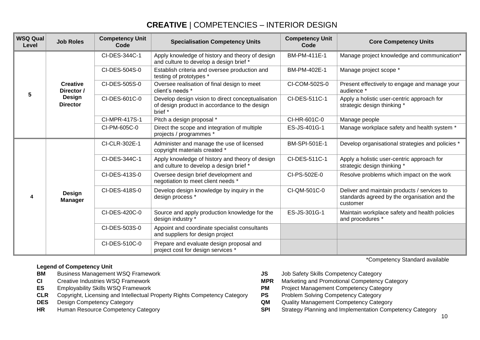# **CREATIVE** | COMPETENCIES – INTERIOR DESIGN

| <b>WSQ Qual</b><br>Level | <b>Job Roles</b>                | <b>Competency Unit</b><br>Code | <b>Specialisation Competency Units</b>                                                                        | <b>Competency Unit</b><br>Code | <b>Core Competency Units</b>                                                                            |
|--------------------------|---------------------------------|--------------------------------|---------------------------------------------------------------------------------------------------------------|--------------------------------|---------------------------------------------------------------------------------------------------------|
|                          |                                 | CI-DES-344C-1                  | Apply knowledge of history and theory of design<br>and culture to develop a design brief *                    | BM-PM-411E-1                   | Manage project knowledge and communication*                                                             |
|                          |                                 | CI-DES-504S-0                  | Establish criteria and oversee production and<br>testing of prototypes *                                      | BM-PM-402E-1                   | Manage project scope *                                                                                  |
| 5                        | <b>Creative</b><br>Director /   | CI-DES-505S-0                  | Oversee realisation of final design to meet<br>client's needs *                                               | CI-COM-502S-0                  | Present effectively to engage and manage your<br>audience *                                             |
|                          | Design<br><b>Director</b>       | CI-DES-601C-0                  | Develop design vision to direct conceptualisation<br>of design product in accordance to the design<br>brief * | CI-DES-511C-1                  | Apply a holistic user-centric approach for<br>strategic design thinking *                               |
|                          |                                 | CI-MPR-417S-1                  | Pitch a design proposal *                                                                                     | CI-HR-601C-0                   | Manage people                                                                                           |
|                          |                                 | CI-PM-605C-0                   | Direct the scope and integration of multiple<br>projects / programmes *                                       | ES-JS-401G-1                   | Manage workplace safety and health system *                                                             |
|                          |                                 | CI-CLR-302E-1                  | Administer and manage the use of licensed<br>copyright materials created *                                    | BM-SPI-501E-1                  | Develop organisational strategies and policies *                                                        |
|                          |                                 | CI-DES-344C-1                  | Apply knowledge of history and theory of design<br>and culture to develop a design brief *                    | CI-DES-511C-1                  | Apply a holistic user-centric approach for<br>strategic design thinking *                               |
|                          |                                 | CI-DES-413S-0                  | Oversee design brief development and<br>negotiation to meet client needs *                                    | CI-PS-502E-0                   | Resolve problems which impact on the work                                                               |
|                          | <b>Design</b><br><b>Manager</b> | CI-DES-418S-0                  | Develop design knowledge by inquiry in the<br>design process *                                                | CI-QM-501C-0                   | Deliver and maintain products / services to<br>standards agreed by the organisation and the<br>customer |
|                          |                                 | CI-DES-420C-0                  | Source and apply production knowledge for the<br>design industry *                                            | ES-JS-301G-1                   | Maintain workplace safety and health policies<br>and procedures *                                       |
|                          |                                 | CI-DES-503S-0                  | Appoint and coordinate specialist consultants<br>and suppliers for design project                             |                                |                                                                                                         |
|                          |                                 | CI-DES-510C-0                  | Prepare and evaluate design proposal and<br>project cost for design services *                                |                                |                                                                                                         |

- **Legend of Competency Unit<br>BM** Business Management WSQ Framework
- 
- 
- **ES** Employability Skills WSQ Framework **PM** Project Management Competency Category<br>**CLR** Copyright, Licensing and Intellectual Property Rights Competency Category **PS** Problem Solving Competency Category **CLR** Copyright, Licensing and Intellectual Property Rights Competency Category **PS**<br>**DES** Design Competency Category
- 
- 
- **BM** Business Management WSQ Framework **JS** Job Safety Skills Competency Category
- **CI** Creative Industries WSQ Framework **MPR** Marketing and Promotional Competency Category
	-
	-
- **DES** Design Competency Category **CALC COM** Quality Management Competency Category
- **HR** Human Resource Competency Category **SPI** Strategy Planning and Implementation Competency Category

\*Competency Standard available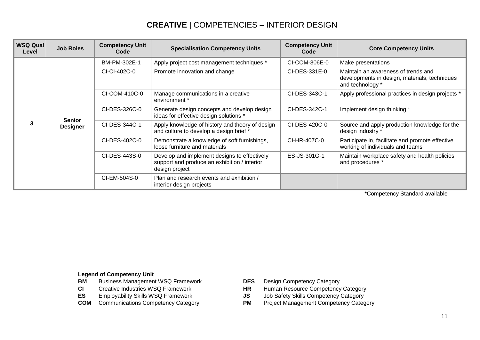# **CREATIVE** | COMPETENCIES – INTERIOR DESIGN

| <b>WSQ Qual</b><br>Level | <b>Job Roles</b> | <b>Competency Unit</b><br>Code | <b>Specialisation Competency Units</b>                                                                         | <b>Competency Unit</b><br>Code | <b>Core Competency Units</b>                                                                             |
|--------------------------|------------------|--------------------------------|----------------------------------------------------------------------------------------------------------------|--------------------------------|----------------------------------------------------------------------------------------------------------|
|                          |                  | BM-PM-302E-1                   | Apply project cost management techniques *                                                                     | CI-COM-306E-0                  | Make presentations                                                                                       |
| 3                        |                  | CI-CI-402C-0                   | Promote innovation and change                                                                                  | CI-DES-331E-0                  | Maintain an awareness of trends and<br>developments in design, materials, techniques<br>and technology * |
|                          |                  | CI-COM-410C-0                  | Manage communications in a creative<br>environment *                                                           | CI-DES-343C-1                  | Apply professional practices in design projects *                                                        |
|                          | <b>Senior</b>    | CI-DES-326C-0                  | Generate design concepts and develop design<br>ideas for effective design solutions *                          | CI-DES-342C-1                  | Implement design thinking *                                                                              |
|                          | <b>Designer</b>  | CI-DES-344C-1                  | Apply knowledge of history and theory of design<br>and culture to develop a design brief *                     | CI-DES-420C-0                  | Source and apply production knowledge for the<br>design industry *                                       |
|                          |                  | CI-DES-402C-0                  | Demonstrate a knowledge of soft furnishings,<br>loose furniture and materials                                  | CI-HR-407C-0                   | Participate in, facilitate and promote effective<br>working of individuals and teams                     |
|                          |                  | CI-DES-443S-0                  | Develop and implement designs to effectively<br>support and produce an exhibition / interior<br>design project | ES-JS-301G-1                   | Maintain workplace safety and health policies<br>and procedures *                                        |
|                          |                  | CI-EM-504S-0                   | Plan and research events and exhibition /<br>interior design projects                                          |                                |                                                                                                          |

\*Competency Standard available

# **Legend of Competency Unit<br>BM** Business Management

- **BM** Business Management WSQ Framework **DES** Design Competency Category<br> **CI** Creative Industries WSQ Framework **DES** HR Human Resource Competency
- 
- 
- 
- 
- Human Resource Competency Category
- **ES** Employability Skills WSQ Framework **JS** Job Safety Skills Competency Category
- **COM** Communications Competency Category **PM** Project Management Competency Category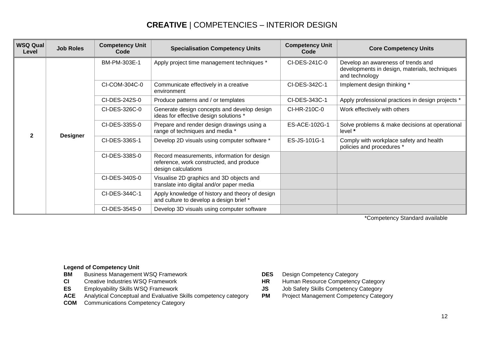# **CREATIVE** | COMPETENCIES – INTERIOR DESIGN

| <b>WSQ Qual</b><br>Level | <b>Job Roles</b> | <b>Competency Unit</b><br>Code | <b>Specialisation Competency Units</b>                                                                         | <b>Competency Unit</b><br>Code                                             | <b>Core Competency Units</b>                                                                          |
|--------------------------|------------------|--------------------------------|----------------------------------------------------------------------------------------------------------------|----------------------------------------------------------------------------|-------------------------------------------------------------------------------------------------------|
|                          |                  | BM-PM-303E-1                   | Apply project time management techniques *                                                                     | CI-DES-241C-0                                                              | Develop an awareness of trends and<br>developments in design, materials, techniques<br>and technology |
|                          |                  | CI-COM-304C-0                  | Communicate effectively in a creative<br>environment                                                           | CI-DES-342C-1                                                              | Implement design thinking *                                                                           |
|                          |                  | CI-DES-242S-0                  | Produce patterns and / or templates                                                                            | CI-DES-343C-1                                                              | Apply professional practices in design projects *                                                     |
| $\mathfrak{p}$           |                  | CI-DES-326C-0                  | Generate design concepts and develop design<br>ideas for effective design solutions *                          | CI-HR-210C-0                                                               | Work effectively with others                                                                          |
|                          |                  | CI-DES-335S-0                  | Prepare and render design drawings using a<br>range of techniques and media *                                  | ES-ACE-102G-1<br>Solve problems & make decisions at operational<br>level * |                                                                                                       |
|                          | <b>Designer</b>  | CI-DES-336S-1                  | Develop 2D visuals using computer software *                                                                   | ES-JS-101G-1                                                               | Comply with workplace safety and health<br>policies and procedures *                                  |
|                          |                  | CI-DES-338S-0                  | Record measurements, information for design<br>reference, work constructed, and produce<br>design calculations |                                                                            |                                                                                                       |
|                          |                  | CI-DES-340S-0                  | Visualise 2D graphics and 3D objects and<br>translate into digital and/or paper media                          |                                                                            |                                                                                                       |
|                          |                  | CI-DES-344C-1                  | Apply knowledge of history and theory of design<br>and culture to develop a design brief *                     |                                                                            |                                                                                                       |
|                          |                  | CI-DES-354S-0                  | Develop 3D visuals using computer software                                                                     |                                                                            |                                                                                                       |

\*Competency Standard available

- **BM** Business Management WSQ Framework **DES** Design Competency Category<br> **CI** Creative Industries WSO Framework **DES** HR Human Resource Competency
- 
- 
- ACE Analytical Conceptual and Evaluative Skills competency category PM Project Management Competency Category
- **COM** Communications Competency Category
- 
- **CI** Creative Industries WSQ Framework **HR** Human Resource Competency Category<br> **ES** Employability Skills WSQ Framework **CIST SES** Job Safety Skills Competency Category
	- **Job Safety Skills Competency Category**
	-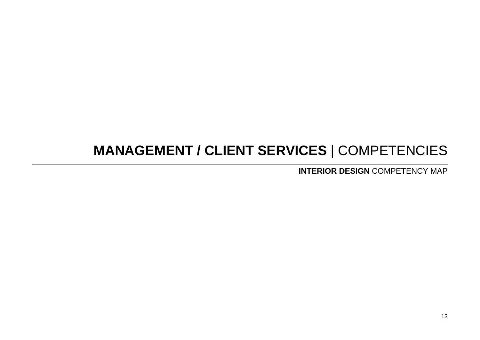# **MANAGEMENT / CLIENT SERVICES** | COMPETENCIES

**INTERIOR DESIGN** COMPETENCY MAP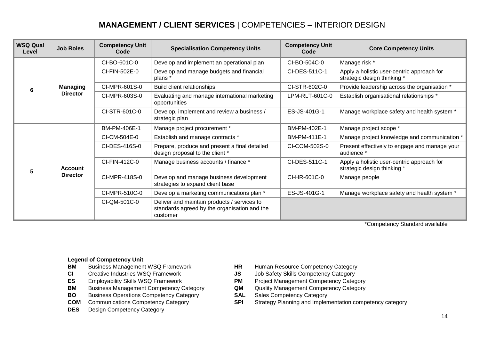# **MANAGEMENT / CLIENT SERVICES** | COMPETENCIES – INTERIOR DESIGN

| <b>WSQ Qual</b><br>Level | <b>Job Roles</b> | <b>Competency Unit</b><br>Code | <b>Specialisation Competency Units</b>                                                                  | <b>Competency Unit</b><br>Code | <b>Core Competency Units</b>                                              |
|--------------------------|------------------|--------------------------------|---------------------------------------------------------------------------------------------------------|--------------------------------|---------------------------------------------------------------------------|
|                          |                  | CI-BO-601C-0                   | Develop and implement an operational plan                                                               | CI-BO-504C-0                   | Manage risk *                                                             |
|                          |                  | CI-FIN-502E-0                  | Develop and manage budgets and financial<br>plans *                                                     | CI-DES-511C-1                  | Apply a holistic user-centric approach for<br>strategic design thinking * |
| 6                        | <b>Managing</b>  | CI-MPR-601S-0                  | Build client relationships                                                                              | CI-STR-602C-0                  | Provide leadership across the organisation *                              |
|                          | <b>Director</b>  | CI-MPR-603S-0                  | Evaluating and manage international marketing<br>opportunities                                          | LPM-RLT-601C-0                 | Establish organisational relationships *                                  |
|                          |                  | CI-STR-601C-0                  | Develop, implement and review a business /<br>strategic plan                                            | ES-JS-401G-1                   | Manage workplace safety and health system *                               |
|                          |                  | BM-PM-406E-1                   | Manage project procurement *                                                                            | BM-PM-402E-1                   | Manage project scope *                                                    |
|                          |                  | CI-CM-504E-0                   | Establish and manage contracts *                                                                        | BM-PM-411E-1                   | Manage project knowledge and communication *                              |
|                          |                  | CI-DES-416S-0                  | Prepare, produce and present a final detailed<br>design proposal to the client *                        | CI-COM-502S-0                  | Present effectively to engage and manage your<br>audience *               |
| 5                        | <b>Account</b>   | CI-FIN-412C-0                  | Manage business accounts / finance *                                                                    | CI-DES-511C-1                  | Apply a holistic user-centric approach for<br>strategic design thinking * |
|                          | <b>Director</b>  | CI-MPR-418S-0                  | Develop and manage business development<br>strategies to expand client base                             | CI-HR-601C-0                   | Manage people                                                             |
|                          |                  | CI-MPR-510C-0                  | Develop a marketing communications plan *                                                               | ES-JS-401G-1                   | Manage workplace safety and health system *                               |
|                          |                  | CI-QM-501C-0                   | Deliver and maintain products / services to<br>standards agreed by the organisation and the<br>customer |                                |                                                                           |

\*Competency Standard available

- **BM** Business Management WSQ Framework **HR** Human Resource Competency Category
- 
- 
- **BM** Business Management Competency Category **QM** Quality Management Competency Category
- **BO** Business Operations Competency Category<br> **COM** Communications Competency Category<br> **SPI** Strategy Planning and Implen
- 
- **DES** Design Competency Category
- 
- **CI** Creative Industries WSQ Framework **JS** Job Safety Skills Competency Category
- **ES** Employability Skills WSQ Framework **PM** Project Management Competency Category
	-
	-
	- **SPI** Strategy Planning and Implementation competency category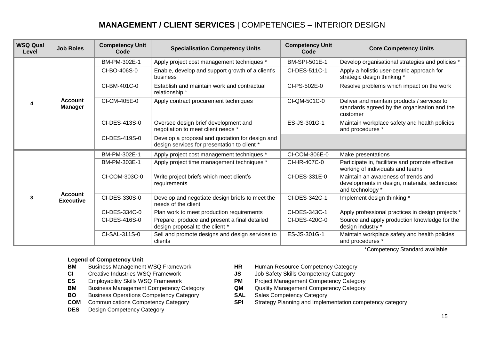# **MANAGEMENT / CLIENT SERVICES** | COMPETENCIES – INTERIOR DESIGN

| <b>WSQ Qual</b><br>Level | <b>Job Roles</b>                   | <b>Competency Unit</b><br>Code | <b>Specialisation Competency Units</b>                                                          | <b>Competency Unit</b><br>Code | <b>Core Competency Units</b>                                                                             |
|--------------------------|------------------------------------|--------------------------------|-------------------------------------------------------------------------------------------------|--------------------------------|----------------------------------------------------------------------------------------------------------|
| Δ                        | <b>Account</b><br><b>Manager</b>   | BM-PM-302E-1                   | Apply project cost management techniques *                                                      | BM-SPI-501E-1                  | Develop organisational strategies and policies *                                                         |
|                          |                                    | CI-BO-406S-0                   | Enable, develop and support growth of a client's<br>business                                    | CI-DES-511C-1                  | Apply a holistic user-centric approach for<br>strategic design thinking *                                |
|                          |                                    | CI-BM-401C-0                   | Establish and maintain work and contractual<br>relationship *                                   | CI-PS-502E-0                   | Resolve problems which impact on the work                                                                |
|                          |                                    | CI-CM-405E-0                   | Apply contract procurement techniques                                                           | CI-QM-501C-0                   | Deliver and maintain products / services to<br>standards agreed by the organisation and the<br>customer  |
|                          |                                    | CI-DES-413S-0                  | Oversee design brief development and<br>negotiation to meet client needs *                      | ES-JS-301G-1                   | Maintain workplace safety and health policies<br>and procedures *                                        |
|                          |                                    | CI-DES-419S-0                  | Develop a proposal and quotation for design and<br>design services for presentation to client * |                                |                                                                                                          |
| 3                        | <b>Account</b><br><b>Executive</b> | BM-PM-302E-1                   | Apply project cost management techniques *                                                      | CI-COM-306E-0                  | Make presentations                                                                                       |
|                          |                                    | BM-PM-303E-1                   | Apply project time management techniques *                                                      | CI-HR-407C-0                   | Participate in, facilitate and promote effective<br>working of individuals and teams                     |
|                          |                                    | CI-COM-303C-0                  | Write project briefs which meet client's<br>requirements                                        | CI-DES-331E-0                  | Maintain an awareness of trends and<br>developments in design, materials, techniques<br>and technology * |
|                          |                                    | CI-DES-330S-0                  | Develop and negotiate design briefs to meet the<br>needs of the client                          | CI-DES-342C-1                  | Implement design thinking *                                                                              |
|                          |                                    | CI-DES-334C-0                  | Plan work to meet production requirements                                                       | CI-DES-343C-1                  | Apply professional practices in design projects *                                                        |
|                          |                                    | CI-DES-416S-0                  | Prepare, produce and present a final detailed<br>design proposal to the client *                | CI-DES-420C-0                  | Source and apply production knowledge for the<br>design industry *                                       |
|                          |                                    | CI-SAL-311S-0                  | Sell and promote designs and design services to<br>clients                                      | ES-JS-301G-1                   | Maintain workplace safety and health policies<br>and procedures *                                        |

#### **Legend of Competency Unit**

- **BM** Business Management WSQ Framework **HR** Human Resource Competency Category
- **CI** Creative Industries WSQ Framework **JS** Job Safety Skills Competency Category
- 
- **BM** Business Management Competency Category **QM** Quality Management Competency Category
- **BO** Business Operations Competency Category<br> **COM** Communications Competency Category<br> **SPI** Strategy Planning and Implen
- 
- **DES** Design Competency Category
- 
- 
- **ES** Employability Skills WSQ Framework **PM** Project Management Competency Category
	-
	-
	- **SPI** Strategy Planning and Implementation competency category

\*Competency Standard available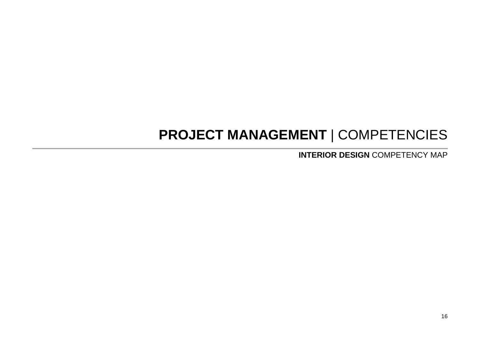# **PROJECT MANAGEMENT** | COMPETENCIES

**INTERIOR DESIGN** COMPETENCY MAP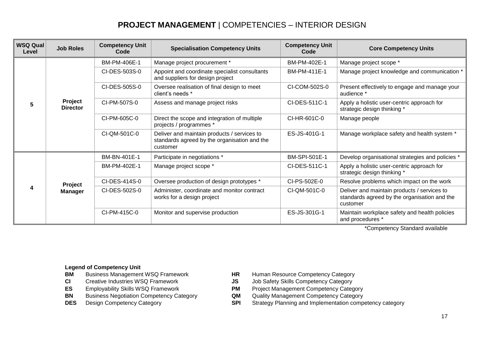# **PROJECT MANAGEMENT** | COMPETENCIES – INTERIOR DESIGN

| <b>WSQ Qual</b><br>Level | <b>Job Roles</b>           | <b>Competency Unit</b><br>Code | <b>Specialisation Competency Units</b>                                                                  | <b>Competency Unit</b><br>Code | <b>Core Competency Units</b>                                                                            |
|--------------------------|----------------------------|--------------------------------|---------------------------------------------------------------------------------------------------------|--------------------------------|---------------------------------------------------------------------------------------------------------|
| 5                        | Project<br><b>Director</b> | BM-PM-406E-1                   | Manage project procurement *                                                                            | BM-PM-402E-1                   | Manage project scope *                                                                                  |
|                          |                            | CI-DES-503S-0                  | Appoint and coordinate specialist consultants<br>and suppliers for design project                       | BM-PM-411E-1                   | Manage project knowledge and communication *                                                            |
|                          |                            | CI-DES-505S-0                  | Oversee realisation of final design to meet<br>client's needs *                                         | CI-COM-502S-0                  | Present effectively to engage and manage your<br>audience *                                             |
|                          |                            | CI-PM-507S-0                   | Assess and manage project risks                                                                         | CI-DES-511C-1                  | Apply a holistic user-centric approach for<br>strategic design thinking *                               |
|                          |                            | CI-PM-605C-0                   | Direct the scope and integration of multiple<br>projects / programmes *                                 | CI-HR-601C-0                   | Manage people                                                                                           |
|                          |                            | CI-QM-501C-0                   | Deliver and maintain products / services to<br>standards agreed by the organisation and the<br>customer | ES-JS-401G-1                   | Manage workplace safety and health system *                                                             |
| 4                        | Project<br><b>Manager</b>  | BM-BN-401E-1                   | Participate in negotiations *                                                                           | <b>BM-SPI-501E-1</b>           | Develop organisational strategies and policies *                                                        |
|                          |                            | BM-PM-402E-1                   | Manage project scope *                                                                                  | CI-DES-511C-1                  | Apply a holistic user-centric approach for<br>strategic design thinking *                               |
|                          |                            | CI-DES-414S-0                  | Oversee production of design prototypes *                                                               | CI-PS-502E-0                   | Resolve problems which impact on the work                                                               |
|                          |                            | CI-DES-502S-0                  | Administer, coordinate and monitor contract<br>works for a design project                               | CI-QM-501C-0                   | Deliver and maintain products / services to<br>standards agreed by the organisation and the<br>customer |
|                          |                            | CI-PM-415C-0                   | Monitor and supervise production                                                                        | ES-JS-301G-1                   | Maintain workplace safety and health policies<br>and procedures *                                       |

\*Competency Standard available

- 
- 
- 
- **BN** Business Negotiation Competency Category **QM** Quality Management Competency Category
- 
- **BM** Business Management WSQ Framework **HR** Human Resource Competency Category<br>**CI** Creative Industries WSQ Framework **JS** Job Safety Skills Competency Category
- **CI** Creative Industries WSQ Framework **JS** Job Safety Skills Competency Category<br> **ES** Employability Skills WSQ Framework **PM** Project Management Competency Category
	- **Project Management Competency Category**
	-
- **DES** Design Competency Category **SPI** Strategy Planning and Implementation competency category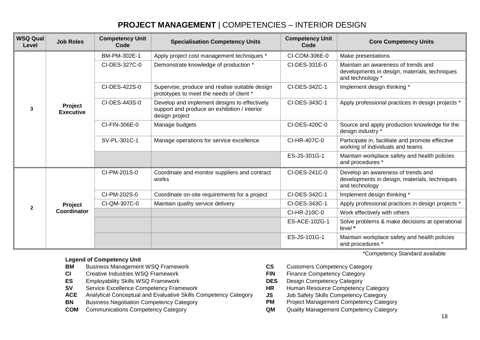# **PROJECT MANAGEMENT** | COMPETENCIES – INTERIOR DESIGN

| WSQ Qual<br>Level | <b>Job Roles</b>                   | <b>Competency Unit</b><br>Code | <b>Specialisation Competency Units</b>                                                                         | <b>Competency Unit</b><br>Code | <b>Core Competency Units</b>                                                                             |
|-------------------|------------------------------------|--------------------------------|----------------------------------------------------------------------------------------------------------------|--------------------------------|----------------------------------------------------------------------------------------------------------|
| 3                 | <b>Project</b><br><b>Executive</b> | BM-PM-302E-1                   | Apply project cost management techniques *                                                                     | CI-COM-306E-0                  | Make presentations                                                                                       |
|                   |                                    | CI-DES-327C-0                  | Demonstrate knowledge of production *                                                                          | CI-DES-331E-0                  | Maintain an awareness of trends and<br>developments in design, materials, techniques<br>and technology * |
|                   |                                    | CI-DES-422S-0                  | Supervise, produce and realise suitable design<br>prototypes to meet the needs of client *                     | CI-DES-342C-1                  | Implement design thinking *                                                                              |
|                   |                                    | CI-DES-443S-0                  | Develop and implement designs to effectively<br>support and produce an exhibition / interior<br>design project | CI-DES-343C-1                  | Apply professional practices in design projects *                                                        |
|                   |                                    | CI-FIN-306E-0                  | Manage budgets                                                                                                 | CI-DES-420C-0                  | Source and apply production knowledge for the<br>design industry *                                       |
|                   |                                    | SV-PL-301C-1                   | Manage operations for service excellence                                                                       | CI-HR-407C-0                   | Participate in, facilitate and promote effective<br>working of individuals and teams                     |
|                   |                                    |                                |                                                                                                                | ES-JS-301G-1                   | Maintain workplace safety and health policies<br>and procedures *                                        |
| $\mathbf{2}$      | <b>Project</b><br>Coordinator      | CI-PM-201S-0                   | Coordinate and monitor suppliers and contract<br>works                                                         | CI-DES-241C-0                  | Develop an awareness of trends and<br>developments in design, materials, techniques<br>and technology    |
|                   |                                    | CI-PM-202S-0                   | Coordinate on-site requirements for a project                                                                  | CI-DES-342C-1                  | Implement design thinking *                                                                              |
|                   |                                    | CI-QM-307C-0                   | Maintain quality service delivery                                                                              | CI-DES-343C-1                  | Apply professional practices in design projects *                                                        |
|                   |                                    |                                |                                                                                                                | CI-HR-210C-0                   | Work effectively with others                                                                             |
|                   |                                    |                                |                                                                                                                | ES-ACE-102G-1                  | Solve problems & make decisions at operational<br>level *                                                |
|                   |                                    |                                |                                                                                                                | ES-JS-101G-1                   | Maintain workplace safety and health policies<br>and procedures *                                        |

- **BM** Business Management WSQ Framework **CS** Customers Competency Category
- **CI** Creative Industries WSQ Framework **FIN** Finance Competency Category
- **ES** Employability Skills WSQ Framework **DES** Design Competency Category
- **SV** Service Excellence Competency Framework **HR** Human Resource Competency Category
- **ACE** Analytical Conceptual and Evaluative Skills Competency Category **JS** Job Safety Skills Competency Category<br>**BN** Business Negotiation Competency Category **PM** Project Management Competency Category
- **BN** Business Negotiation Competency Category **PM**
- **COM** Communications Competency Category **COM** Quality Management Competency Category
- \*Competency Standard available
- 
- 
- 
- 
- 
- 
-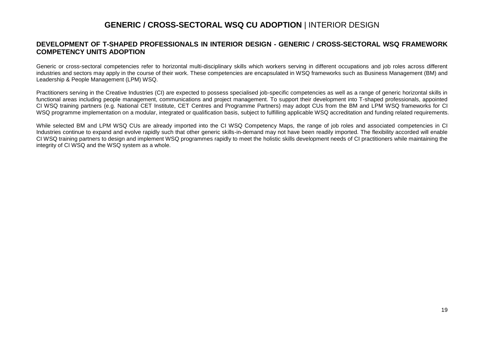#### **GENERIC / CROSS-SECTORAL WSQ CU ADOPTION** | INTERIOR DESIGN

#### **DEVELOPMENT OF T-SHAPED PROFESSIONALS IN INTERIOR DESIGN - GENERIC / CROSS-SECTORAL WSQ FRAMEWORK COMPETENCY UNITS ADOPTION**

Generic or cross-sectoral competencies refer to horizontal multi-disciplinary skills which workers serving in different occupations and job roles across different industries and sectors may apply in the course of their work. These competencies are encapsulated in WSQ frameworks such as Business Management (BM) and Leadership & People Management (LPM) WSQ.

Practitioners serving in the Creative Industries (CI) are expected to possess specialised job-specific competencies as well as a range of generic horizontal skills in functional areas including people management, communications and project management. To support their development into T-shaped professionals, appointed CI WSQ training partners (e.g. National CET Institute, CET Centres and Programme Partners) may adopt CUs from the BM and LPM WSQ frameworks for CI WSQ programme implementation on a modular, integrated or qualification basis, subject to fulfilling applicable WSQ accreditation and funding related requirements.

While selected BM and LPM WSQ CUs are already imported into the CI WSQ Competency Maps, the range of job roles and associated competencies in CI Industries continue to expand and evolve rapidly such that other generic skills-in-demand may not have been readily imported. The flexibility accorded will enable CI WSQ training partners to design and implement WSQ programmes rapidly to meet the holistic skills development needs of CI practitioners while maintaining the integrity of CI WSQ and the WSQ system as a whole.